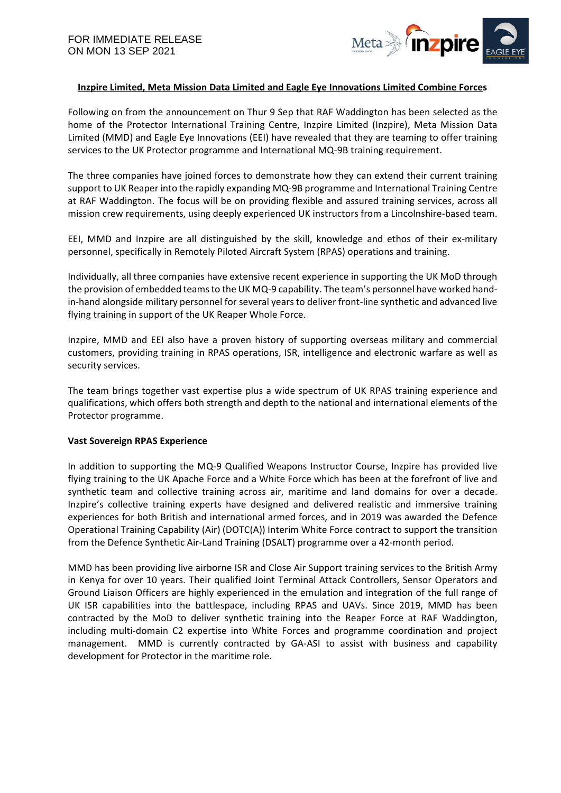

# **Inzpire Limited, Meta Mission Data Limited and Eagle Eye Innovations Limited Combine Forces**

Following on from the announcement on Thur 9 Sep that RAF Waddington has been selected as the home of the Protector International Training Centre, Inzpire Limited (Inzpire), Meta Mission Data Limited (MMD) and Eagle Eye Innovations (EEI) have revealed that they are teaming to offer training services to the UK Protector programme and International MQ-9B training requirement.

The three companies have joined forces to demonstrate how they can extend their current training support to UK Reaper into the rapidly expanding MQ-9B programme and International Training Centre at RAF Waddington. The focus will be on providing flexible and assured training services, across all mission crew requirements, using deeply experienced UK instructors from a Lincolnshire-based team.

EEI, MMD and Inzpire are all distinguished by the skill, knowledge and ethos of their ex-military personnel, specifically in Remotely Piloted Aircraft System (RPAS) operations and training.

Individually, all three companies have extensive recent experience in supporting the UK MoD through the provision of embedded teams to the UK MQ-9 capability. The team's personnel have worked handin-hand alongside military personnel for several years to deliver front-line synthetic and advanced live flying training in support of the UK Reaper Whole Force.

Inzpire, MMD and EEI also have a proven history of supporting overseas military and commercial customers, providing training in RPAS operations, ISR, intelligence and electronic warfare as well as security services.

The team brings together vast expertise plus a wide spectrum of UK RPAS training experience and qualifications, which offers both strength and depth to the national and international elements of the Protector programme.

### **Vast Sovereign RPAS Experience**

In addition to supporting the MQ-9 Qualified Weapons Instructor Course, Inzpire has provided live flying training to the UK Apache Force and a White Force which has been at the forefront of live and synthetic team and collective training across air, maritime and land domains for over a decade. Inzpire's collective training experts have designed and delivered realistic and immersive training experiences for both British and international armed forces, and in 2019 was awarded the Defence Operational Training Capability (Air) (DOTC(A)) Interim White Force contract to support the transition from the Defence Synthetic Air-Land Training (DSALT) programme over a 42-month period.

MMD has been providing live airborne ISR and Close Air Support training services to the British Army in Kenya for over 10 years. Their qualified Joint Terminal Attack Controllers, Sensor Operators and Ground Liaison Officers are highly experienced in the emulation and integration of the full range of UK ISR capabilities into the battlespace, including RPAS and UAVs. Since 2019, MMD has been contracted by the MoD to deliver synthetic training into the Reaper Force at RAF Waddington, including multi-domain C2 expertise into White Forces and programme coordination and project management. MMD is currently contracted by GA-ASI to assist with business and capability development for Protector in the maritime role.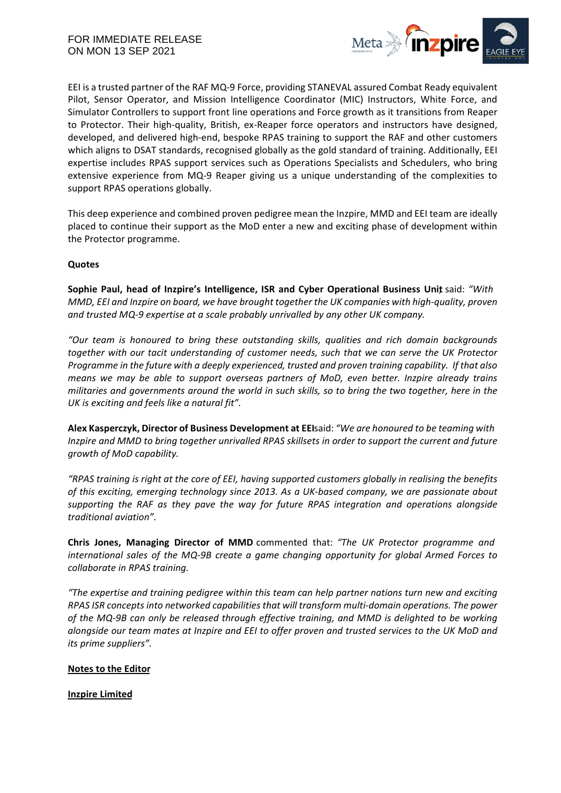

EEI is a trusted partner of the RAF MQ-9 Force, providing STANEVAL assured Combat Ready equivalent Pilot, Sensor Operator, and Mission Intelligence Coordinator (MIC) Instructors, White Force, and Simulator Controllers to support front line operations and Force growth as it transitions from Reaper to Protector. Their high-quality, British, ex-Reaper force operators and instructors have designed, developed, and delivered high-end, bespoke RPAS training to support the RAF and other customers which aligns to DSAT standards, recognised globally as the gold standard of training. Additionally, EEI expertise includes RPAS support services such as Operations Specialists and Schedulers, who bring extensive experience from MQ-9 Reaper giving us a unique understanding of the complexities to support RPAS operations globally.

This deep experience and combined proven pedigree mean the Inzpire, MMD and EEI team are ideally placed to continue their support as the MoD enter a new and exciting phase of development within the Protector programme.

## **Quotes**

**Sophie Paul, head of Inzpire's Intelligence, ISR and Cyber Operational Business Unit**, said: *"With MMD, EEI and Inzpire on board, we have brought together the UK companies with high-quality, proven and trusted MQ-9 expertise at a scale probably unrivalled by any other UK company.*

*"Our team is honoured to bring these outstanding skills, qualities and rich domain backgrounds together with our tacit understanding of customer needs, such that we can serve the UK Protector Programme in the future with a deeply experienced, trusted and proven training capability. If that also means we may be able to support overseas partners of MoD, even better. Inzpire already trains militaries and governments around the world in such skills, so to bring the two together, here in the UK is exciting and feels like a natural fit".*

**Alex Kasperczyk, Director of Business Development at EEI**said: *"We are honoured to be teaming with Inzpire and MMD to bring together unrivalled RPAS skillsets in order to support the current and future growth of MoD capability.*

*"RPAS training is right at the core of EEI, having supported customers globally in realising the benefits of this exciting, emerging technology since 2013. As a UK-based company, we are passionate about supporting the RAF as they pave the way for future RPAS integration and operations alongside traditional aviation".*

**Chris Jones, Managing Director of MMD** commented that: "*The UK Protector programme and international sales of the MQ-9B create a game changing opportunity for global Armed Forces to collaborate in RPAS training.*

*"The expertise and training pedigree within this team can help partner nations turn new and exciting RPAS ISR concepts into networked capabilities that will transform multi-domain operations. The power of the MQ-9B can only be released through effective training, and MMD is delighted to be working alongside our team mates at Inzpire and EEI to offer proven and trusted services to the UK MoD and its prime suppliers".*

## **Notes to the Editor**

**Inzpire Limited**